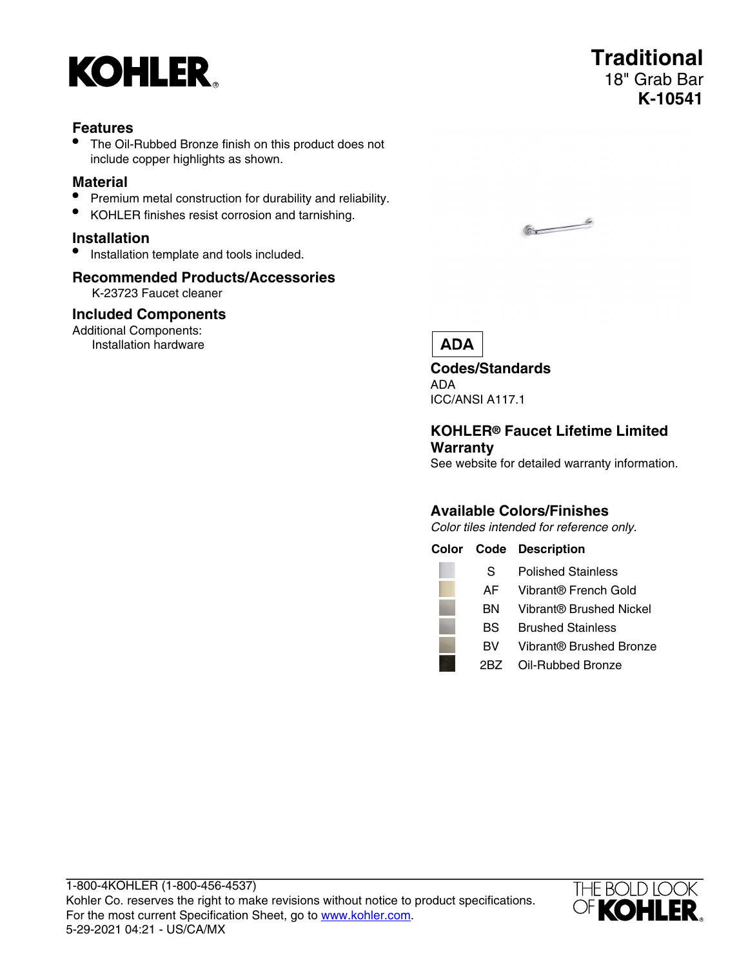

### **Features**

The Oil-Rubbed Bronze finish on this product does not include copper highlights as shown.

### **Material**

- Premium metal construction for durability and reliability.
- KOHLER finishes resist corrosion and tarnishing.

### **Installation**

• Installation template and tools included.

## **Recommended Products/Accessories**

K-23723 Faucet cleaner

### **Included Components**

Additional Components: Installation hardware



# **ADA**

**Codes/Standards** ADA ICC/ANSI A117.1

### **KOHLER® Faucet Lifetime Limited Warranty**

See website for detailed warranty information.

### **Available Colors/Finishes**

Color tiles intended for reference only.